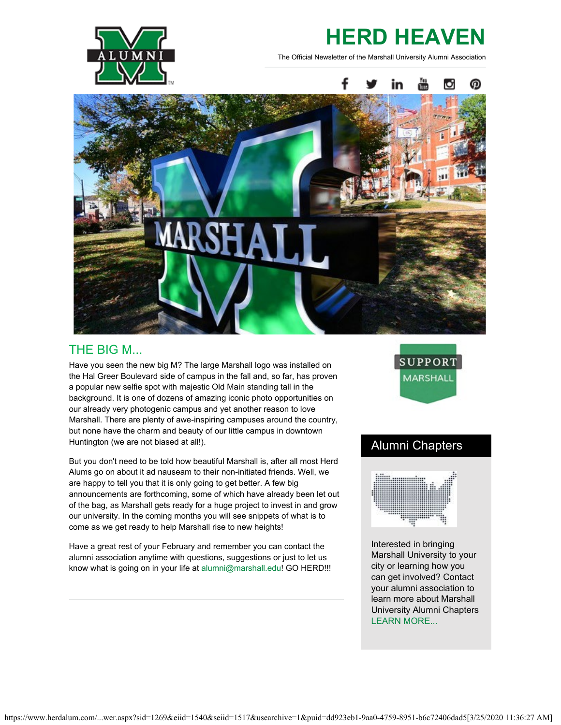

## **HERD HEAVEN**

The Official Newsletter of the Marshall University Alumni Association



### THE BIG M...

Have you seen the new big M? The large Marshall logo was installed on the Hal Greer Boulevard side of campus in the fall and, so far, has proven a popular new selfie spot with majestic Old Main standing tall in the background. It is one of dozens of amazing iconic photo opportunities on our already very photogenic campus and yet another reason to love Marshall. There are plenty of awe-inspiring campuses around the country, but none have the charm and beauty of our little campus in downtown Huntington (we are not biased at all!).

But you don't need to be told how beautiful Marshall is, after all most Herd Alums go on about it ad nauseam to their non-initiated friends. Well, we are happy to tell you that it is only going to get better. A few big announcements are forthcoming, some of which have already been let out of the bag, as Marshall gets ready for a huge project to invest in and grow our university. In the coming months you will see snippets of what is to come as we get ready to help Marshall rise to new heights!

Have a great rest of your February and remember you can contact the alumni association anytime with questions, suggestions or just to let us know what is going on in your life at [alumni@marshall.edu](mailto:alumni@marshall.edu)! GO HERD!!!



## Alumni Chapters



Interested in bringing Marshall University to your city or learning how you can get involved? Contact your alumni association to learn more about Marshall University Alumni Chapters [LEARN MORE...](https://www.herdalum.com/s/1269/map.aspx?sid=1269&gid=1&pgid=1128)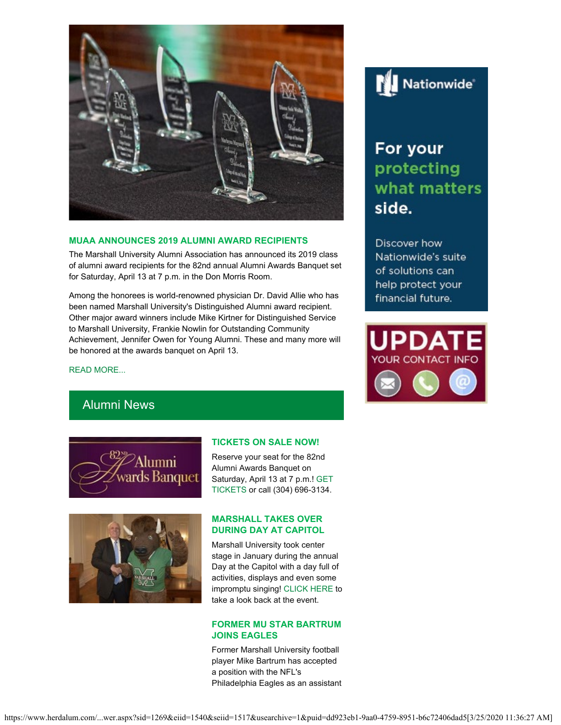

#### **MUAA ANNOUNCES 2019 ALUMNI AWARD RECIPIENTS**

The Marshall University Alumni Association has announced its 2019 class of alumni award recipients for the 82nd annual Alumni Awards Banquet set for Saturday, April 13 at 7 p.m. in the Don Morris Room.

Among the honorees is world-renowned physician Dr. David Allie who has been named Marshall University's Distinguished Alumni award recipient. Other major award winners include Mike Kirtner for Distinguished Service to Marshall University, Frankie Nowlin for Outstanding Community Achievement, Jennifer Owen for Young Alumni. These and many more will be honored at the awards banquet on April 13.

[READ MORE...](https://www.herdalum.com/s/1269/images/editor_documents/lc/herd_heaven/82nd_alumni_awards_banquet_release_wquotes.pdf)

# **Nationwide**®

## For your protecting what matters side.

Discover how Nationwide's suite of solutions can help protect your financial future.



## Alumni News





#### **TICKETS ON SALE NOW!**

Reserve your seat for the 82nd Alumni Awards Banquet on Saturday, April 13 at 7 p.m.! [GET](https://www.herdalum.com/s/1269/index.aspx?sid=1269&gid=1&pgid=429) [TICKETS](https://www.herdalum.com/s/1269/index.aspx?sid=1269&gid=1&pgid=429) or call (304) 696-3134.

#### **MARSHALL TAKES OVER DURING DAY AT CAPITOL**

Marshall University took center stage in January during the annual Day at the Capitol with a day full of activities, displays and even some impromptu singing! [CLICK HERE](https://www.facebook.com/watch/?v=1959688271007425) to take a look back at the event.

#### **FORMER MU STAR BARTRUM JOINS EAGLES**

Former Marshall University football player Mike Bartrum has accepted a position with the NFL's Philadelphia Eagles as an assistant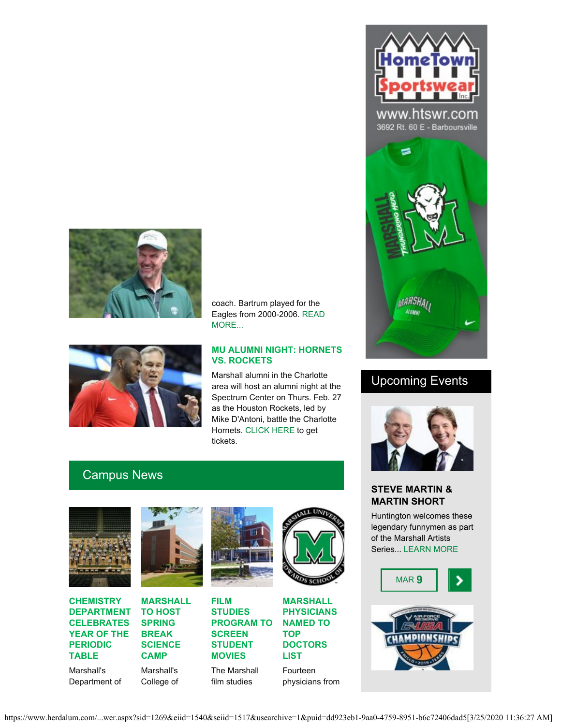





#### **MU ALUMNI NIGHT: HORNETS VS. ROCKETS**

Marshall alumni in the Charlotte area will host an alumni night at the Spectrum Center on Thurs. Feb. 27 as the Houston Rockets, led by Mike D'Antoni, battle the Charlotte Hornets. [CLICK HERE](https://groupmatics.events/event/Marshalluniversity6) to get tickets.

## Campus News



**CHEMISTRY DEPARTMENT CELEBRATES YEAR OF THE PERIODIC TABLE**

Marshall's Department of



**SPRING BREAK SCIENCE CAMP** Marshall's College of



**PROGRAM TO SCREEN STUDENT MOVIES**

The Marshall film studies



**MARSHALL PHYSICIANS NAMED TO TOP DOCTORS LIST** Fourteen

physicians from



www.htswr.com 3692 Rt. 60 E - Barboursville



## Upcoming Events



#### **STEVE MARTIN & MARTIN SHORT**

Huntington welcomes these legendary funnymen as part of the Marshall Artists Series... [LEARN MORE](https://www.marshall.edu/muartistseries/show?id=10)